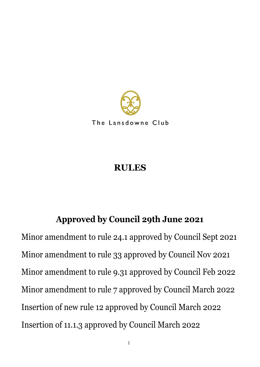

The Lansdowne Club

# **RULES**

# **Approved by Council 29th June 2021**

Minor amendment to rule 24.1 approved by Council Sept 2021 Minor amendment to rule 33 approved by Council Nov 2021 Minor amendment to rule 9.31 approved by Council Feb 2022 Minor amendment to rule 7 approved by Council March 2022 Insertion of new rule 12 approved by Council March 2022 Insertion of 11.1.3 approved by Council March 2022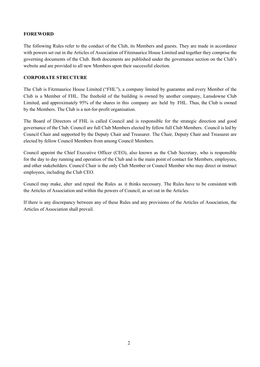# **FOREWORD**

The following Rules refer to the conduct of the Club, its Members and guests. They are made in accordance with powers set out in the Articles of Association of Fitzmaurice House Limited and together they comprise the governing documents of the Club. Both documents are published under the governance section on the Club's website and are provided to all new Members upon their successful election.

# **CORPORATE STRUCTURE**

The Club is Fitzmaurice House Limited ("FHL"), a company limited by guarantee and every Member of the Club is a Member of FHL. The freehold of the building is owned by another company, Lansdowne Club Limited, and approximately 95% of the shares in this company are held by FHL. Thus, the Club is owned by the Members. The Club is a not-for-profit organisation.

The Board of Directors of FHL is called Council and is responsible for the strategic direction and good governance of the Club. Council are full Club Members elected by fellow full Club Members. Council is led by Council Chair and supported by the Deputy Chair and Treasurer. The Chair, Deputy Chair and Treasurer are elected by fellow Council Members from among Council Members.

Council appoint the Chief Executive Officer (CEO), also known as the Club Secretary, who is responsible for the day to day running and operation of the Club and is the main point of contact for Members, employees, and other stakeholders. Council Chair is the only Club Member or Council Member who may direct or instruct employees, including the Club CEO.

Council may make, alter and repeal the Rules as it thinks necessary. The Rules have to be consistent with the Articles of Association and within the powers of Council, as set out in the Articles.

If there is any discrepancy between any of these Rules and any provisions of the Articles of Association, the Articles of Association shall prevail.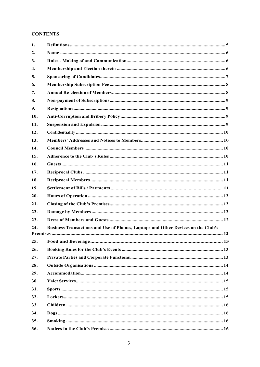# **CONTENTS**

| 1.  |                                                                                  |  |
|-----|----------------------------------------------------------------------------------|--|
| 2.  |                                                                                  |  |
| 3.  |                                                                                  |  |
| 4.  |                                                                                  |  |
| 5.  |                                                                                  |  |
| 6.  |                                                                                  |  |
| 7.  |                                                                                  |  |
| 8.  |                                                                                  |  |
| 9.  |                                                                                  |  |
| 10. |                                                                                  |  |
| 11. |                                                                                  |  |
| 12. |                                                                                  |  |
| 13. |                                                                                  |  |
| 14. |                                                                                  |  |
| 15. |                                                                                  |  |
| 16. |                                                                                  |  |
| 17. |                                                                                  |  |
| 18. |                                                                                  |  |
| 19. |                                                                                  |  |
| 20. |                                                                                  |  |
| 21. |                                                                                  |  |
| 22. |                                                                                  |  |
| 23. |                                                                                  |  |
| 24. | Business Transactions and Use of Phones, Laptops and Other Devices on the Club's |  |
|     |                                                                                  |  |
| 25. |                                                                                  |  |
| 26. |                                                                                  |  |
| 27. |                                                                                  |  |
| 28. |                                                                                  |  |
| 29. |                                                                                  |  |
| 30. |                                                                                  |  |
| 31. |                                                                                  |  |
| 32. |                                                                                  |  |
| 33. |                                                                                  |  |
| 34. |                                                                                  |  |
| 35. |                                                                                  |  |
| 36. |                                                                                  |  |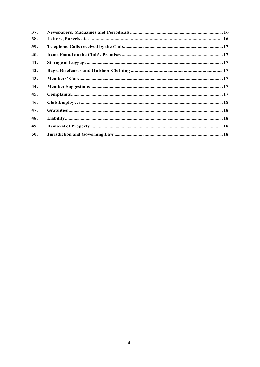| 37. |  |
|-----|--|
| 38. |  |
| 39. |  |
| 40. |  |
| 41. |  |
| 42. |  |
| 43. |  |
| 44. |  |
| 45. |  |
| 46. |  |
| 47. |  |
| 48. |  |
| 49. |  |
| 50. |  |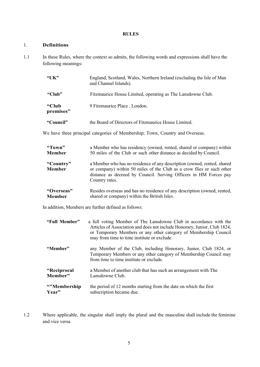#### **RULES**

# <span id="page-4-0"></span>1. **Definitions**

1.1 In these Rules, where the context so admits, the following words and expressions shall have the following meanings:

| " $UK"$            | England, Scotland, Wales, Northern Ireland (excluding the Isle of Man<br>and Channel Islands). |
|--------------------|------------------------------------------------------------------------------------------------|
| "Club"             | Fitzmaurice House Limited, operating as The Lansdowne Club.                                    |
| "Club<br>premises" | 9 Fitzmaurice Place, London.                                                                   |
| "Council"          | the Board of Directors of Fitzmaurice House Limited.                                           |

We have three principal categories of Membership; Town, Country and Overseas.

| "Town"                     | a Member who has residency (owned, rented, shared or company) within                                                                                                                                                                    |
|----------------------------|-----------------------------------------------------------------------------------------------------------------------------------------------------------------------------------------------------------------------------------------|
| <b>Member</b>              | 50 miles of the Club or such other distance as decided by Council.                                                                                                                                                                      |
| "Country"<br><b>Member</b> | a Member who has no residence of any description (owned, rented, shared<br>or company) within 50 miles of the Club as a crow flies or such other<br>distance as decreed by Council. Serving Officers in HM Forces pay<br>Country rates. |
| "Overseas"                 | Resides overseas and has no residence of any description (owned, rented,                                                                                                                                                                |
| <b>Member</b>              | shared or company) within the British Isles.                                                                                                                                                                                            |

In addition, Members are further defined as follows:

| "Full Member" | a full voting Member of The Lansdowne Club in accordance with the<br>Articles of Association and does not include Honorary, Junior, Club 1824,<br>or Temporary Members or any other category of Membership Council<br>may from time to time institute or exclude. |
|---------------|-------------------------------------------------------------------------------------------------------------------------------------------------------------------------------------------------------------------------------------------------------------------|
| "Member"      | any Member of the Club, including Honorary, Junior, Club 1824, or<br>Temporary Members or any other category of Membership Council may<br>from time to time institute or exclude.                                                                                 |
| "Reciprocal   | a Member of another club that has such an arrangement with The                                                                                                                                                                                                    |
| Member"       | Lansdowne Club.                                                                                                                                                                                                                                                   |
| "Membership"  | the period of 12 months starting from the date on which the first                                                                                                                                                                                                 |
| Year"         | subscription became due.                                                                                                                                                                                                                                          |

1.2 Where applicable, the singular shall imply the plural and the masculine shall include the feminine and vice versa.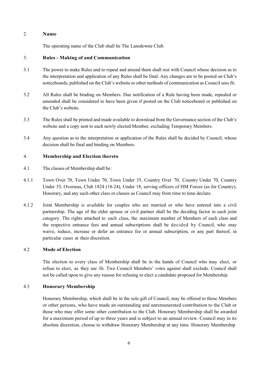## 2. **Name**

The operating name of the Club shall be The Lansdowne Club.

## 3. **Rules - Making of and Communication**

- 3.1 The power to make Rules and to repeal and amend them shall rest with Council whose decision as to the interpretation and application of any Rules shall be final. Any changes are to be posted on Club's noticeboards, published on the Club's website or other methods of communication as Council sees fit.
- 3.2 All Rules shall be binding on Members. Due notification of a Rule having been made, repealed or amended shall be considered to have been given if posted on the Club noticeboard or published on the Club's website.
- 3.3 The Rules shall be printed and made available to download from the Governance section of the Club's website and a copy sent to each newly elected Member, excluding Temporary Members.
- 3.4 Any question as to the interpretation or application of the Rules shall be decided by Council, whose decision shall be final and binding on Members.

## 4. **Membership and Election thereto**

- 4.1 The classes of Membership shall be:
- 4.1.1 Town Over 70, Town Under 70, Town Under 35, Country Over 70, Country Under 70, Country Under 35, Overseas, Club 1824 (18-24), Under 18, serving officers of HM Forces (as for Country), Honorary, and any such other class or classes as Council may from time to time declare.
- 4.1.2 Joint Membership is available for couples who are married or who have entered into a civil partnership. The age of the elder spouse or civil partner shall be the deciding factor in each joint category. The rights attached to each class, the maximum number of Members of each class and the respective entrance fees and annual subscriptions shall be decided by Council, who may waive, reduce, increase or defer an entrance fee or annual subscription, or any part thereof, in particular cases at their discretion.

#### 4.2 **Mode of Election**

The election to every class of Membership shall be in the hands of Council who may elect, or refuse to elect, as they see fit. Two Council Members' votes against shall exclude. Council shall not be called upon to give any reason for refusing to elect a candidate proposed for Membership.

# 4.3 **Honorary Membership**

Honorary Membership, which shall be in the sole gift of Council, may be offered to those Members or other persons, who have made an outstanding and unremunerated contribution to the Club or those who may offer some other contribution to the Club. Honorary Membership shall be awarded for a maximum period of up to three years and is subject to an annual review. Council may in its absolute discretion, choose to withdraw Honorary Membership at any time. Honorary Membership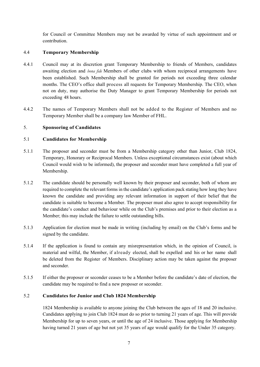for Council or Committee Members may not be awarded by virtue of such appointment and or contribution.

# 4.4 **Temporary Membership**

- 4.4.1 Council may at its discretion grant Temporary Membership to friends of Members, candidates awaiting election and *bona fide* Members of other clubs with whom reciprocal arrangements have been established. Such Membership shall be granted for periods not exceeding three calendar months. The CEO's office shall process all requests for Temporary Membership. The CEO, when not on duty, may authorise the Duty Manager to grant Temporary Membership for periods not exceeding 48 hours.
- 4.4.2 The names of Temporary Members shall not be added to the Register of Members and no Temporary Member shall be a company law Member of FHL.

# 5. **Sponsoring of Candidates**

# 5.1 **Candidates for Membership**

- 5.1.1 The proposer and seconder must be from a Membership category other than Junior, Club 1824, Temporary, Honorary or Reciprocal Members. Unless exceptional circumstances exist (about which Council would wish to be informed), the proposer and seconder must have completed a full year of Membership.
- 5.1.2 The candidate should be personally well known by their proposer and seconder, both of whom are required to complete the relevant forms in the candidate's application pack stating how long they have known the candidate and providing any relevant information in support of their belief that the candidate is suitable to become a Member. The proposer must also agree to accept responsibility for the candidate's conduct and behaviour while on the Club's premises and prior to their election as a Member; this may include the failure to settle outstanding bills.
- 5.1.3 Application for election must be made in writing (including by email) on the Club's forms and be signed by the candidate.
- 5.1.4 If the application is found to contain any misrepresentation which, in the opinion of Council, is material and wilful, the Member, if already elected, shall be expelled and his or her name shall be deleted from the Register of Members. Disciplinary action may be taken against the proposer and seconder.
- 5.1.5 If either the proposer or seconder ceases to be a Member before the candidate's date of election, the candidate may be required to find a new proposer or seconder.

# 5.2 **Candidates for Junior and Club 1824 Membership**

1824 Membership is available to anyone joining the Club between the ages of 18 and 20 inclusive. Candidates applying to join Club 1824 must do so prior to turning 21 years of age. This will provide Membership for up to seven years, or until the age of 24 inclusive. Those applying for Membership having turned 21 years of age but not yet 35 years of age would qualify for the Under 35 category.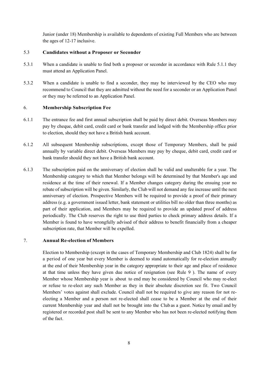Junior (under 18) Membership is available to dependents of existing Full Members who are between the ages of 12-17 inclusive.

## 5.3 **Candidates without a Proposer or Seconder**

- 5.3.1 When a candidate is unable to find both a proposer or seconder in accordance with Rule 5.1.1 they must attend an Application Panel.
- 5.3.2 When a candidate is unable to find a seconder, they may be interviewed by the CEO who may recommend to Council that they are admitted without the need for a seconder or an Application Panel or they may be referred to an Application Panel.

## 6. **Membership Subscription Fee**

- 6.1.1 The entrance fee and first annual subscription shall be paid by direct debit. Overseas Members may pay by cheque, debit card, credit card or bank transfer and lodged with the Membership office prior to election, should they not have a British bank account.
- 6.1.2 All subsequent Membership subscriptions, except those of Temporary Members, shall be paid annually by variable direct debit. Overseas Members may pay by cheque, debit card, credit card or bank transfer should they not have a British bank account.
- 6.1.3 The subscription paid on the anniversary of election shall be valid and unalterable for a year. The Membership category to which that Member belongs will be determined by that Member's age and residence at the time of their renewal. If a Member changes category during the ensuing year no rebate of subscription will be given. Similarly, the Club will not demand any fee increase until the next anniversary of election. Prospective Members will be required to provide a proof of their primary address (e.g. a government issued letter, bank statement or utilities bill no older than three months) as part of their application, and Members may be required to provide an updated proof of address periodically. The Club reserves the right to use third parties to check primary address details. If a Member is found to have wrongfully advised of their address to benefit financially from a cheaper subscription rate, that Member will be expelled.

# 7. **Annual Re-election of Members**

Election to Membership (except in the cases of Temporary Membership and Club 1824) shall be for a period of one year but every Member is deemed to stand automatically for re-election annually at the end of their Membership year in the category appropriate to their age and place of residence at that time unless they have given due notice of resignation (see Rule 9 ). The name of every Member whose Membership year is about to end may be considered by Council who may re-elect or refuse to re-elect any such Member as they in their absolute discretion see fit. Two Council Members' votes against shall exclude. Council shall not be required to give any reason for not reelecting a Member and a person not re-elected shall cease to be a Member at the end of their current Membership year and shall not be brought into the Club as a guest. Notice by email and by registered or recorded post shall be sent to any Member who has not been re-elected notifying them of the fact.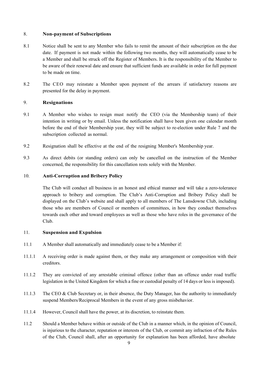## 8. **Non-payment of Subscriptions**

- 8.1 Notice shall be sent to any Member who fails to remit the amount of their subscription on the due date. If payment is not made within the following two months, they will automatically cease to be a Member and shall be struck off the Register of Members. It is the responsibility of the Member to be aware of their renewal date and ensure that sufficient funds are available in order for full payment to be made on time.
- 8.2 The CEO may reinstate a Member upon payment of the arrears if satisfactory reasons are presented for the delay in payment.

# 9. **Resignations**

- 9.1 A Member who wishes to resign must notify the CEO (via the Membership team) of their intention in writing or by email. Unless the notification shall have been given one calendar month before the end of their Membership year, they will be subject to re-election under Rule 7 and the subscription collected as normal.
- 9.2 Resignation shall be effective at the end of the resigning Member's Membership year.
- 9.3 As direct debits (or standing orders) can only be cancelled on the instruction of the Member concerned, the responsibility for this cancellation rests solely with the Member.

# 10. **Anti-Corruption and Bribery Policy**

The Club will conduct all business in an honest and ethical manner and will take a zero-tolerance approach to bribery and corruption. The Club's Anti-Corruption and Bribery Policy shall be displayed on the Club's website and shall apply to all members of The Lansdowne Club, including those who are members of Council or members of committees, in how they conduct themselves towards each other and toward employees as well as those who have roles in the governance of the Club.

# 11. **Suspension and Expulsion**

- 11.1 A Member shall automatically and immediately cease to be a Member if:
- 11.1.1 A receiving order is made against them, or they make any arrangement or composition with their creditors.
- 11.1.2 They are convicted of any arrestable criminal offence (other than an offence under road traffic legislation in the United Kingdom for which a fine or custodial penalty of 14 days or less is imposed).
- 11.1.3 The CEO & Club Secretary or, in their absence, the Duty Manager, has the authority to immediately suspend Members/Reciprocal Members in the event of any gross misbehavior.
- 11.1.4 However, Council shall have the power, at its discretion, to reinstate them.
- 11.2 Should a Member behave within or outside of the Club in a manner which, in the opinion of Council, is injurious to the character, reputation or interests of the Club, or commit any infraction of the Rules of the Club, Council shall, after an opportunity for explanation has been afforded, have absolute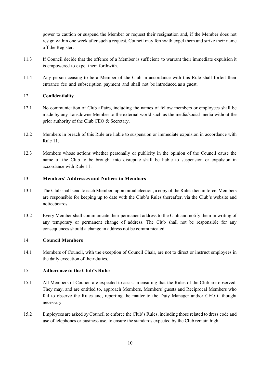power to caution or suspend the Member or request their resignation and, if the Member does not resign within one week after such a request, Council may forthwith expel them and strike their name off the Register.

- 11.3 If Council decide that the offence of a Member is sufficient to warrant their immediate expulsion it is empowered to expel them forthwith.
- 11.4 Any person ceasing to be a Member of the Club in accordance with this Rule shall forfeit their entrance fee and subscription payment and shall not be introduced as a guest.

# 12. **Confidentiality**

- 12.1 No communication of Club affairs, including the names of fellow members or employees shall be made by any Lansdowne Member to the external world such as the media/social media without the prior authority of the Club CEO & Secretary.
- 12.2 Members in breach of this Rule are liable to suspension or immediate expulsion in accordance with Rule 11.
- 12.3 Members whose actions whether personally or publicity in the opinion of the Council cause the name of the Club to be brought into disrepute shall be liable to suspension or expulsion in accordance with Rule 11.

# 13. **Members' Addresses and Notices to Members**

- 13.1 The Club shall send to each Member, upon initial election, a copy of the Rules then in force. Members are responsible for keeping up to date with the Club's Rules thereafter, via the Club's website and noticeboards.
- 13.2 Every Member shall communicate their permanent address to the Club and notify them in writing of any temporary or permanent change of address. The Club shall not be responsible for any consequences should a change in address not be communicated.

# 14. **Council Members**

14.1 Members of Council, with the exception of Council Chair, are not to direct or instruct employees in the daily execution of their duties.

# 15. **Adherence to the Club's Rules**

- 15.1 All Members of Council are expected to assist in ensuring that the Rules of the Club are observed. They may, and are entitled to, approach Members, Members' guests and Reciprocal Members who fail to observe the Rules and, reporting the matter to the Duty Manager and/or CEO if thought necessary.
- 15.2 Employees are asked by Council to enforce the Club's Rules, including those related to dress code and use of telephones or business use, to ensure the standards expected by the Club remain high.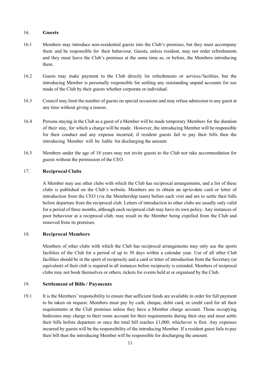#### 16. **Guests**

- 16.1 Members may introduce non-residential guests into the Club's premises, but they must accompany them and be responsible for their behaviour. Guests, unless resident, may not order refreshments and they must leave the Club's premises at the same time as, or before, the Members introducing them.
- 16.2 Guests may make payment to the Club directly for refreshments or services/facilities, but the introducing Member is personally responsible for settling any outstanding unpaid accounts for use made of the Club by their guests whether corporate or individual.
- 16.3 Council may limit the number of guests on special occasions and may refuse admission to any guest at any time without giving a reason.
- 16.4 Persons staying in the Club as a guest of a Member will be made temporary Members for the duration of their stay, for which a charge will be made. However, the introducing Member will be responsible for their conduct and any expense incurred; if resident guests fail to pay their bills then the introducing Member will be liable for discharging the amount.
- 16.5 Members under the age of 18 years may not invite guests to the Club nor take accommodation for guests without the permission of the CEO.

## 17. **Reciprocal Clubs**

A Member may use other clubs with which the Club has reciprocal arrangements, and a list of these clubs is published on the Club's website. Members are to obtain an up-to-date card or letter of introduction from the CEO (via the Membership team) before each visit and are to settle their bills before departure from the reciprocal club. Letters of introduction to other clubs are usually only valid for a period of three months, although each reciprocal club may have its own policy. Any instances of poor behaviour at a reciprocal club, may result in the Member being expelled from the Club and removed from its premises.

# 18. **Reciprocal Members**

Members of other clubs with which the Club has reciprocal arrangements may only use the sports facilities of the Club for a period of up to 30 days within a calendar year. Use of all other Club facilities should be in the spirit of reciprocity and a card or letter of introduction from the Secretary (or equivalent) of their club is required in all instances before reciprocity is extended. Members of reciprocal clubs may not book themselves or others, tickets for events held at or organised by the Club.

# 19. **Settlement of Bills / Payments**

19.1 It is the Members' responsibility to ensure that sufficient funds are available in order for full payment to be taken on request. Members must pay by cash, cheque, debit card, or credit card for all their requirements at the Club premises unless they have a Member charge account. Those occupying bedrooms may charge to their room account for their requirements during their stay and must settle their bills before departure or once the total bill reaches £1,000, whichever is first. Any expenses incurred by guests will be the responsibility of the introducing Member. If a resident guest fails to pay their bill then the introducing Member will be responsible for discharging the amount.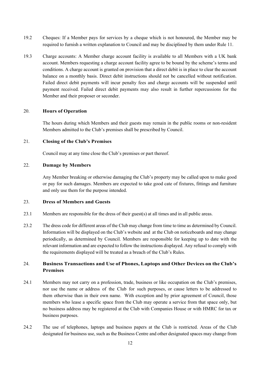- 19.2 Cheques: If a Member pays for services by a cheque which is not honoured, the Member may be required to furnish a written explanation to Council and may be disciplined by them under Rule 11.
- 19.3 Charge accounts: A Member charge account facility is available to all Members with a UK bank account. Members requesting a charge account facility agree to be bound by the scheme's terms and conditions. A charge account is granted on provision that a direct debit is in place to clear the account balance on a monthly basis. Direct debit instructions should not be cancelled without notification. Failed direct debit payments will incur penalty fees and charge accounts will be suspended until payment received. Failed direct debit payments may also result in further repercussions for the Member and their proposer or seconder.

## 20. **Hours of Operation**

The hours during which Members and their guests may remain in the public rooms or non-resident Members admitted to the Club's premises shall be prescribed by Council.

## 21. **Closing of the Club's Premises**

Council may at any time close the Club's premises or part thereof.

## 22. **Damage by Members**

Any Member breaking or otherwise damaging the Club's property may be called upon to make good or pay for such damages. Members are expected to take good cate of fixtures, fittings and furniture and only use them for the purpose intended.

#### 23. **Dress of Members and Guests**

- 23.1 Members are responsible for the dress of their guest(s) at all times and in all public areas.
- 23.2 The dress code for different areas of the Club may change from time to time as determined by Council. Information will be displayed on the Club's website and at the Club on noticeboards and may change periodically, as determined by Council. Members are responsible for keeping up to date with the relevant information and are expected to follow the instructions displayed. Any refusal to comply with the requirements displayed will be treated as a breach of the Club's Rules.

# 24. **Business Transactions and Use of Phones, Laptops and Other Devices on the Club's Premises**

- 24.1 Members may not carry on a profession, trade, business or like occupation on the Club's premises, nor use the name or address of the Club for such purposes, or cause letters to be addressed to them otherwise than in their own name. With exception and by prior agreement of Council, those members who lease a specific space from the Club may operate a service from that space only, but no business address may be registered at the Club with Companies House or with HMRC for tax or business purposes.
- 24.2 The use of telephones, laptops and business papers at the Club is restricted. Areas of the Club designated for business use, such as the Business Centre and other designated spaces may change from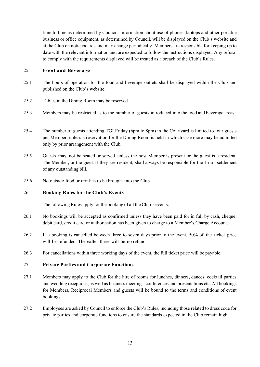time to time as determined by Council. Information about use of phones, laptops and other portable business or office equipment, as determined by Council, will be displayed on the Club's website and at the Club on noticeboards and may change periodically. Members are responsible for keeping up to date with the relevant information and are expected to follow the instructions displayed. Any refusal to comply with the requirements displayed will be treated as a breach of the Club's Rules.

# 25. **Food and Beverage**

- 25.1 The hours of operation for the food and beverage outlets shall be displayed within the Club and published on the Club's website.
- 25.2 Tables in the Dining Room may be reserved.
- 25.3 Members may be restricted as to the number of guests introduced into the food and beverage areas.
- 25.4 The number of guests attending TGI Friday (6pm to 8pm) in the Courtyard is limited to four guests per Member, unless a reservation for the Dining Room is held in which case more may be admitted only by prior arrangement with the Club.
- 25.5 Guests may not be seated or served unless the host Member is present or the guest is a resident. The Member, or the guest if they are resident, shall always be responsible for the final settlement of any outstanding bill.
- 25.6 No outside food or drink is to be brought into the Club.

#### 26. **Booking Rules for the Club's Events**

The following Rules apply for the booking of all the Club's events:

- 26.1 No bookings will be accepted as confirmed unless they have been paid for in full by cash, cheque, debit card, credit card or authorisation has been given to charge to a Member's Charge Account.
- 26.2 If a booking is cancelled between three to seven days prior to the event, 50% of the ticket price will be refunded. Thereafter there will be no refund.
- 26.3 For cancellations within three working days of the event, the full ticket price will be payable.

## 27. **Private Parties and Corporate Functions**

- 27.1 Members may apply to the Club for the hire of rooms for lunches, dinners, dances, cocktail parties and wedding receptions, as well as business meetings, conferences and presentations etc. All bookings for Members, Reciprocal Members and guests will be bound to the terms and conditions of event bookings.
- 27.2 Employees are asked by Council to enforce the Club's Rules, including those related to dress code for private parties and corporate functions to ensure the standards expected in the Club remain high.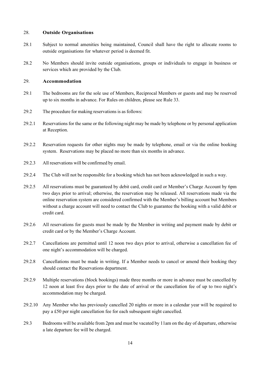#### 28. **Outside Organisations**

- 28.1 Subject to normal amenities being maintained, Council shall have the right to allocate rooms to outside organisations for whatever period is deemed fit.
- 28.2 No Members should invite outside organisations, groups or individuals to engage in business or services which are provided by the Club.

# 29. **Accommodation**

- 29.1 The bedrooms are for the sole use of Members, Reciprocal Members or guests and may be reserved up to six months in advance. For Rules on children, please see Rule 33.
- 29.2 The procedure for making reservations is asfollows:
- 29.2.1 Reservations for the same or the following night may be made by telephone or by personal application at Reception.
- 29.2.2 Reservation requests for other nights may be made by telephone, email or via the online booking system. Reservations may be placed no more than six months in advance.
- 29.2.3 All reservations will be confirmed by email.
- 29.2.4 The Club will not be responsible for a booking which has not been acknowledged in such a way.
- 29.2.5 All reservations must be guaranteed by debit card, credit card or Member's Charge Account by 6pm two days prior to arrival; otherwise, the reservation may be released. All reservations made via the online reservation system are considered confirmed with the Member's billing account but Members without a charge account will need to contact the Club to guarantee the booking with a valid debit or credit card.
- 29.2.6 All reservations for guests must be made by the Member in writing and payment made by debit or credit card or by the Member's Charge Account.
- 29.2.7 Cancellations are permitted until 12 noon two days prior to arrival, otherwise a cancellation fee of one night's accommodation will be charged.
- 29.2.8 Cancellations must be made in writing. If a Member needs to cancel or amend their booking they should contact the Reservations department.
- 29.2.9 Multiple reservations (block bookings) made three months or more in advance must be cancelled by 12 noon at least five days prior to the date of arrival or the cancellation fee of up to two night's accommodation may be charged.
- 29.2.10 Any Member who has previously cancelled 20 nights or more in a calendar year will be required to pay a £50 per night cancellation fee for each subsequent night cancelled.
- 29.3 Bedrooms will be available from 2pm and must be vacated by 11am on the day of departure, otherwise a late departure fee will be charged.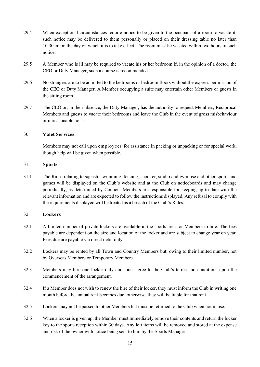- 29.4 When exceptional circumstances require notice to be given to the occupant of a room to vacate it, such notice may be delivered to them personally or placed on their dressing table no later than 10.30am on the day on which it is to take effect. The room must be vacated within two hours of such notice.
- 29.5 A Member who is ill may be required to vacate his or her bedroom if, in the opinion of a doctor, the CEO or Duty Manager, such a course is recommended.
- 29.6 No strangers are to be admitted to the bedrooms or bedroom floors without the express permission of the CEO or Duty Manager. A Member occupying a suite may entertain other Members or guests in the sitting room.
- 29.7 The CEO or, in their absence, the Duty Manager, has the authority to request Members, Reciprocal Members and guests to vacate their bedrooms and leave the Club in the event of gross misbehaviour or unreasonable noise.

## 30. **Valet Services**

Members may not call upon employees for assistance in packing or unpacking or for special work, though help will be given when possible.

## 31. **Sports**

31.1 The Rules relating to squash, swimming, fencing, snooker, studio and gym use and other sports and games will be displayed on the Club's website and at the Club on noticeboards and may change periodically, as determined by Council. Members are responsible for keeping up to date with the relevant information and are expected to follow the instructions displayed. Any refusal to comply with the requirements displayed will be treated as a breach of the Club's Rules.

# 32. **Lockers**

- 32.1 A limited number of private lockers are available in the sports area for Members to hire. The fees payable are dependent on the size and location of the locker and are subject to change year on year. Fees due are payable via direct debit only.
- 32.2 Lockers may be rented by all Town and Country Members but, owing to their limited number, not by Overseas Members or Temporary Members.
- 32.3 Members may hire one locker only and must agree to the Club's terms and conditions upon the commencement of the arrangement.
- 32.4 If a Member does not wish to renew the hire of their locker, they must inform the Club in writing one month before the annual rent becomes due; otherwise, they will be liable for that rent.
- 32.5 Lockers may not be passed to other Members but must be returned to the Club when not in use.
- 32.6 When a locker is given up, the Member must immediately remove their contents and return the locker key to the sports reception within 30 days. Any left items will be removed and stored at the expense and risk of the owner with notice being sent to him by the Sports Manager.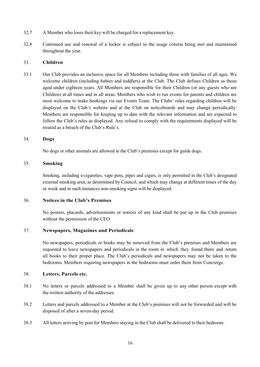- 32.7 A Member who loses their key will be charged for a replacement key.
- 32.8 Continued use and renewal of a locker is subject to the usage criteria being met and maintained throughout the year.

### 33. **Children**

33.1 Our Club provides an inclusive space for all Members including those with families of all ages. We welcome children (including babies and toddlers) at the Club. The Club defines Children as those aged under eighteen years. All Members are responsible for their Children (or any guests who are Children) at all times and in all areas. Members who wish to run events for parents and children are most welcome to make bookings via our Events Team. The Clubs' rules regarding children will be displayed on the Club's website and at the Club on noticeboards and may change periodically. Members are responsible for keeping up to date with the relevant information and are expected to follow the Club's rules as displayed. Any refusal to comply with the requirements displayed will be treated as a breach of the Club's Rule's.

## 34. **Dogs**

No dogs or other animals are allowed in the Club's premises except for guide dogs.

# 35. **Smoking**

Smoking, including e-cigarettes, vape pens, pipes and cigars, is only permitted in the Club's designated external smoking area, as determined by Council, and which may change at different times of the day or week and in such instances non-smoking signs will be displayed.

## 36. **Notices in the Club's Premises**

No posters, placards, advertisements or notices of any kind shall be put up in the Club premises without the permission of the CEO.

## 37. **Newspapers, Magazines and Periodicals**

No newspapers, periodicals or books may be removed from the Club's premises and Members are requested to leave newspapers and periodicals in the room in which they found them and return all books to their proper place. The Club's periodicals and newspapers may not be taken to the bedrooms. Members requiring newspapers in the bedrooms must order them from Concierge.

## 38. **Letters, Parcels etc.**

- 38.1 No letters or parcels addressed to a Member shall be given up to any other person except with the written authority of the addressee.
- 38.2 Letters and parcels addressed to a Member at the Club's premises will not be forwarded and will be disposed of after a seven-day period.
- 38.3 All letters arriving by post for Members staying in the Club shall be delivered to their bedroom.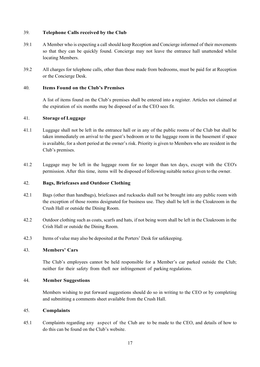## 39. **Telephone Calls received by the Club**

- 39.1 A Member who is expecting a call should keep Reception and Concierge informed of their movements so that they can be quickly found. Concierge may not leave the entrance hall unattended whilst locating Members.
- 39.2 All charges for telephone calls, other than those made from bedrooms, must be paid for at Reception or the Concierge Desk.

## 40. **Items Found on the Club's Premises**

A list of items found on the Club's premises shall be entered into a register. Articles not claimed at the expiration of six months may be disposed of as the CEO sees fit.

## 41. **Storage of Luggage**

- 41.1 Luggage shall not be left in the entrance hall or in any of the public rooms of the Club but shall be taken immediately on arrival to the guest's bedroom or to the luggage room in the basement if space is available, for a short period at the owner's risk. Priority is given to Members who are resident in the Club's premises.
- 41.2 Luggage may be left in the luggage room for no longer than ten days, except with the CEO's permission. After this time, items will be disposed of following suitable notice given to the owner.

## 42. **Bags, Briefcases and Outdoor Clothing**

- 42.1 Bags (other than handbags), briefcases and rucksacks shall not be brought into any public room with the exception of those rooms designated for business use. They shall be left in the Cloakroom in the Crush Hall or outside the Dining Room.
- 42.2 Outdoor clothing such as coats, scarfs and hats, if not being worn shall be left in the Cloakroom in the Crish Hall or outside the Dining Room.
- 42.3 Items of value may also be deposited at the Porters' Desk for safekeeping.

### 43. **Members' Cars**

The Club's employees cannot be held responsible for a Member's car parked outside the Club; neither for their safety from theft nor infringement of parking regulations.

#### 44. **Member Suggestions**

Members wishing to put forward suggestions should do so in writing to the CEO or by completing and submitting a comments sheet available from the Crush Hall.

#### 45. **Complaints**

45.1 Complaints regarding any aspect of the Club are to be made to the CEO, and details of how to do this can be found on the Club's website.